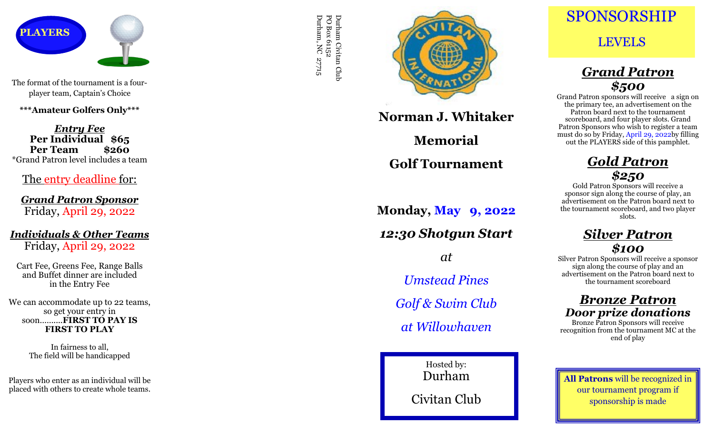

The format of the tournament is a four player team, Captain 's Choice

**\*\*\*Amateur Golfers Only\*\*\***

*Entry Fee* **Per Individual \$65 Per Team \$260** \*Grand Patron level includes a team

The entry deadline for:

*Grand Patron Sponsor* Friday, April 29, 2022

*Individuals & Other Teams* Friday, April 29, 2022

Cart Fee, Greens Fee, Range Balls and Buffet dinner are included in the Entry Fee

We can accommodate up to 22 teams, so get your entry in soon……....**FIRST TO PAY IS FIRST TO PLAY**

> In fairness to all, The field will be handicapped

Players who enter as an individual will be placed with others to create whole teams.

Durham Civitan Club<br>PO Box 61152<br>Durham, NC 27715 Durham, NC 27715 PO Box 61152 Durham Civitan Club



**Norman J. Whitaker**

**Memorial**

**Golf Tournament**

**Monday, May 9, 2022** *12:30 Shotgun Start at Umstead Pines Golf & Swim Club at Willowhaven*

> Hosted by: Durham Civitan Club

SPONSORSHIP

### LEVELS

# *Grand Patron \$500*

Grand Patron sponsors will receive a sign on the primary tee, an advertisement on the Patron board next to the tournament scoreboard, and four player slots. Grand Patron Sponsors who wish to register a team must do so by Friday, April 29, 2022by filling out the PLAYERS side of this pamphlet.

# *Gold Patron \$250*

Gold Patron Sponsors will receive a sponsor sign along the course of play, an advertisement on the Patron board next to the tournament scoreboard, and two player slots.

### *Silver Patron \$100*

Silver Patron Sponsors will receive a sponsor sign along the course of play and an advertisement on the Patron board next to the tournament scoreboard

#### *Bronze Patron Door prize donations*

Bronze Patron Sponsors will receive recognition from the tournament MC at the end of play

**All Patrons** will be recognized in our tournament program if sponsorship is made